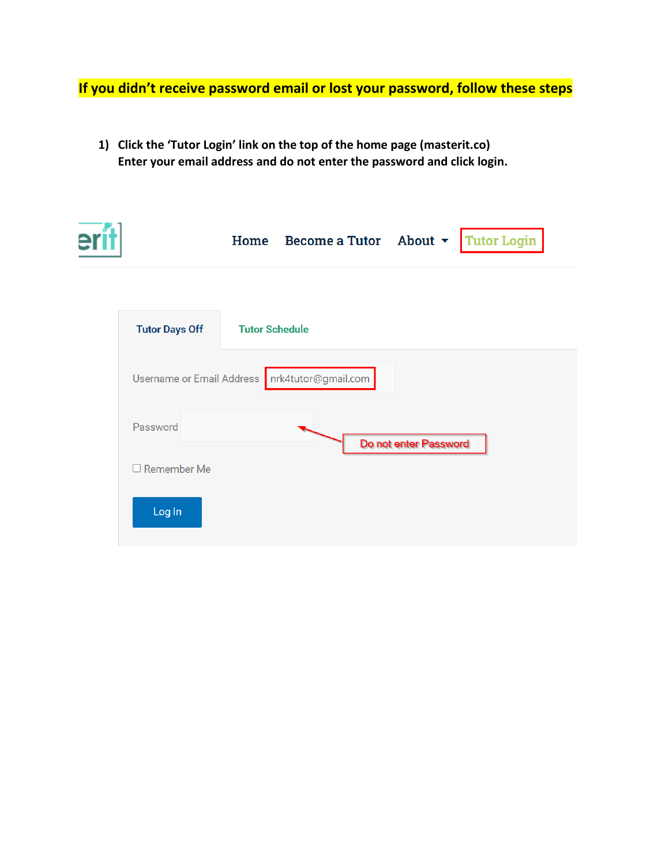**If you didn't receive password email or lost your password, follow these steps**

**1) Click the 'Tutor Login' link on the top of the home page (masterit.co) Enter your email address and do not enter the password and click login.**

|                                               |                       | Home Become a Tutor About $\sim$ |                       | <b>Tutor Login</b> |  |
|-----------------------------------------------|-----------------------|----------------------------------|-----------------------|--------------------|--|
| <b>Tutor Days Off</b>                         | <b>Tutor Schedule</b> |                                  |                       |                    |  |
| Username or Email Address nrk4tutor@gmail.com |                       |                                  |                       |                    |  |
| Password                                      |                       |                                  | Do not enter Password |                    |  |
| $\Box$ Remember Me                            |                       |                                  |                       |                    |  |
| Log In                                        |                       |                                  |                       |                    |  |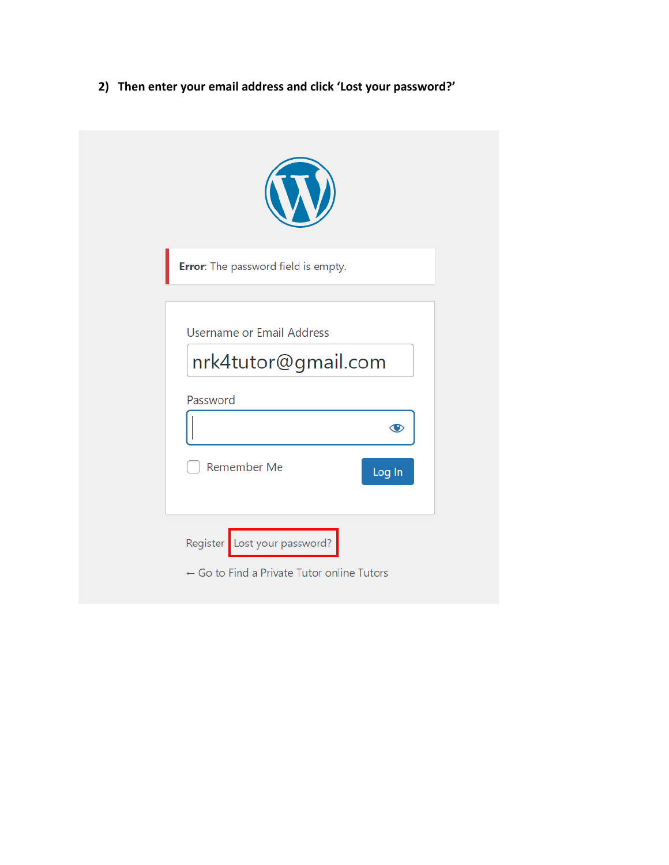**2) Then enter your email address and click 'Lost your password?'**

| Error: The password field is empty.                                                                 |  |
|-----------------------------------------------------------------------------------------------------|--|
| Username or Email Address<br>nrk4tutor@gmail.com<br>Password<br>$\bigcirc$<br>Remember Me<br>Log In |  |
| Register Lost your password?<br>$\leftarrow$ Go to Find a Private Tutor online Tutors               |  |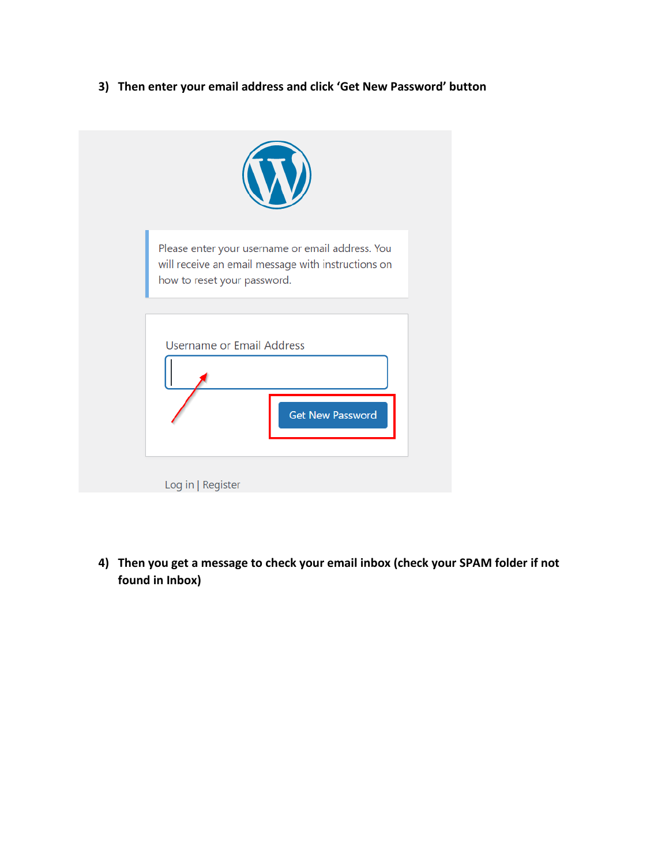**3) Then enter your email address and click 'Get New Password' button**



**4) Then you get a message to check your email inbox (check your SPAM folder if not found in Inbox)**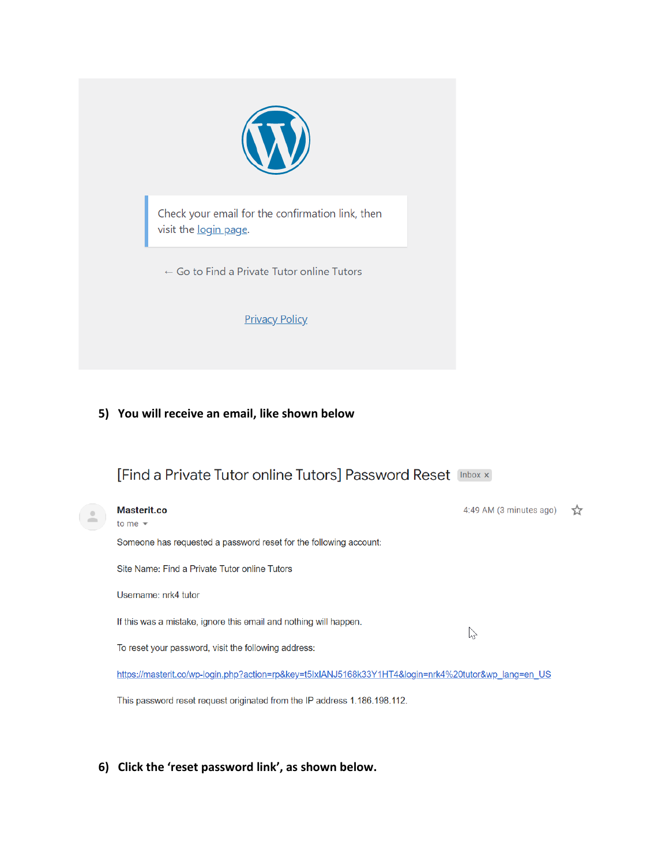

Check your email for the confirmation link, then visit the login page.

 $\leftarrow$  Go to Find a Private Tutor online Tutors

**Privacy Policy** 

### **5) You will receive an email, like shown below**

## [Find a Private Tutor online Tutors] Password Reset [Inbox x]



This password reset request originated from the IP address 1.186.198.112.

#### **6) Click the 'reset password link', as shown below.**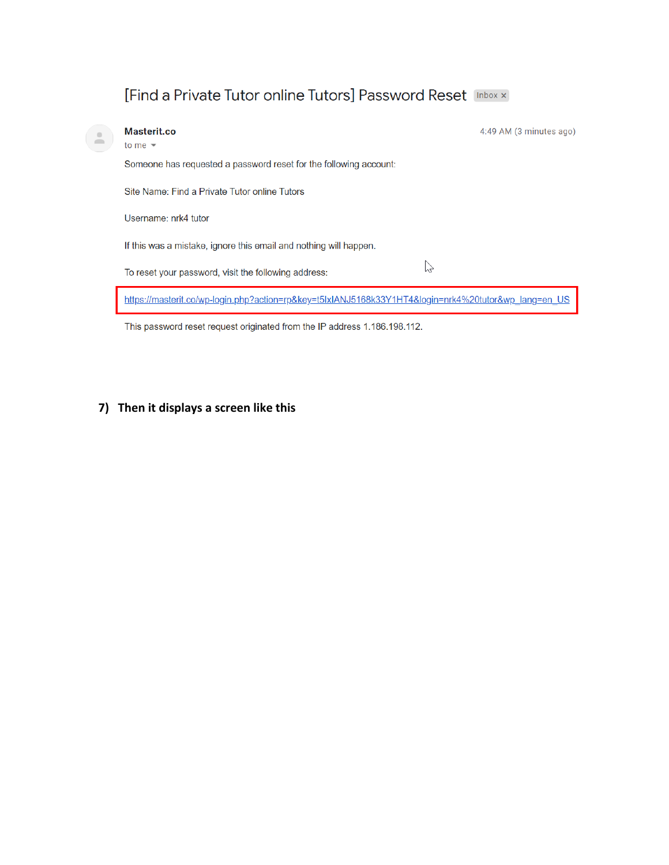# [Find a Private Tutor online Tutors] Password Reset [Inbox x]

| Masterit.co<br>to me $\sqrt{ }$                                                                    | 4:49 AM (3 minutes ago) |
|----------------------------------------------------------------------------------------------------|-------------------------|
| Someone has requested a password reset for the following account:                                  |                         |
| Site Name: Find a Private Tutor online Tutors                                                      |                         |
| Username: nrk4 tutor                                                                               |                         |
| If this was a mistake, ignore this email and nothing will happen.                                  |                         |
| ΥY<br>To reset your password, visit the following address:                                         |                         |
| https://masterit.co/wp-login.php?action=rp&key=t5lxIANJ5168k33Y1HT4&login=nrk4%20tutor℘_lang=en_US |                         |

This password reset request originated from the IP address 1.186.198.112.

## **7) Then it displays a screen like this**

 $\geq$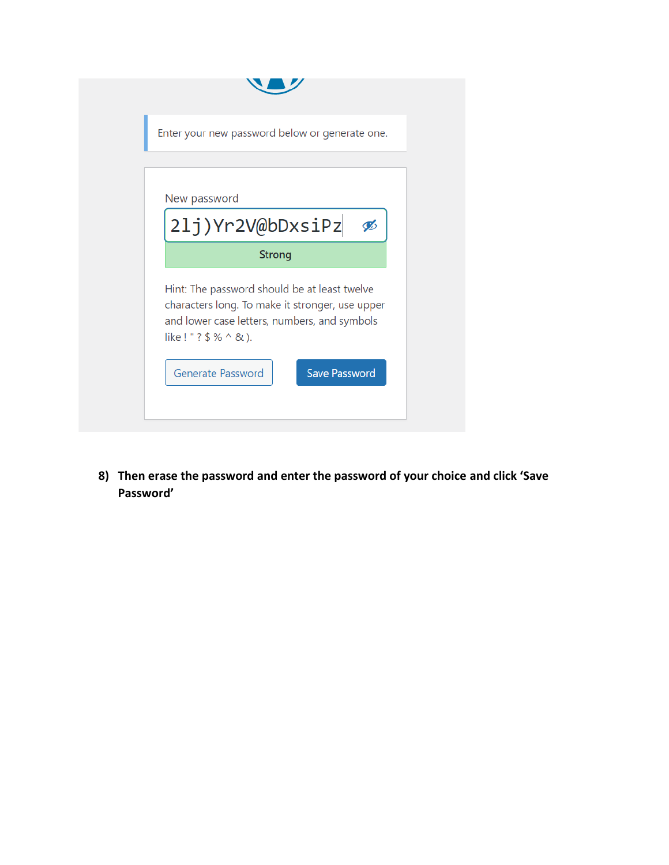|                        | Enter your new password below or generate one.                                                                                                  |                      |   |
|------------------------|-------------------------------------------------------------------------------------------------------------------------------------------------|----------------------|---|
|                        |                                                                                                                                                 |                      |   |
| New password           |                                                                                                                                                 |                      |   |
|                        | 21j)Yr2V@bDxsiPz                                                                                                                                |                      | Ø |
|                        | <b>Strong</b>                                                                                                                                   |                      |   |
| like ! " ? \$ % ^ & ). | Hint: The password should be at least twelve<br>characters long. To make it stronger, use upper<br>and lower case letters, numbers, and symbols |                      |   |
|                        | Generate Password                                                                                                                               | <b>Save Password</b> |   |

**8) Then erase the password and enter the password of your choice and click 'Save Password'**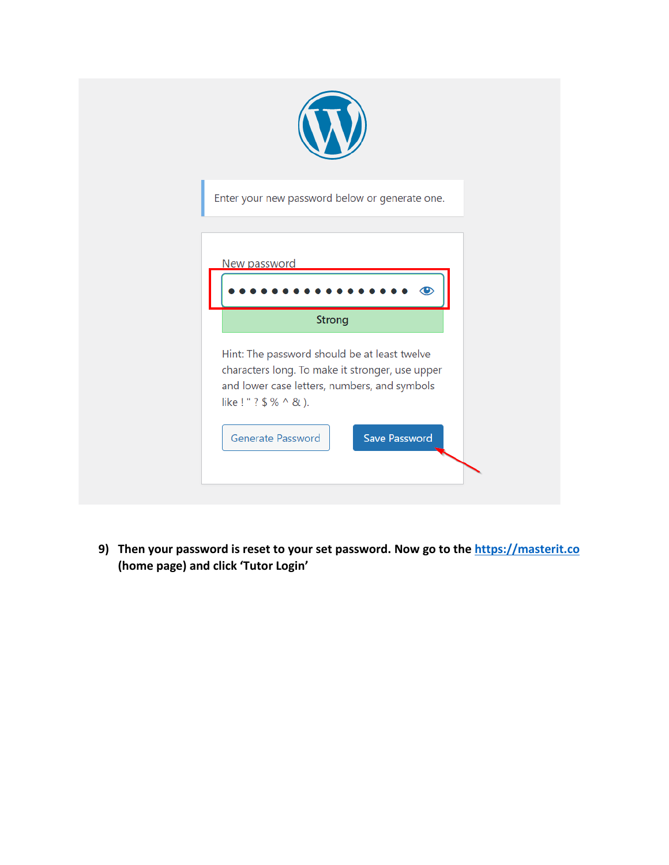

**9) Then your password is reset to your set password. Now go to the [https://masterit.co](https://masterit.co/) (home page) and click 'Tutor Login'**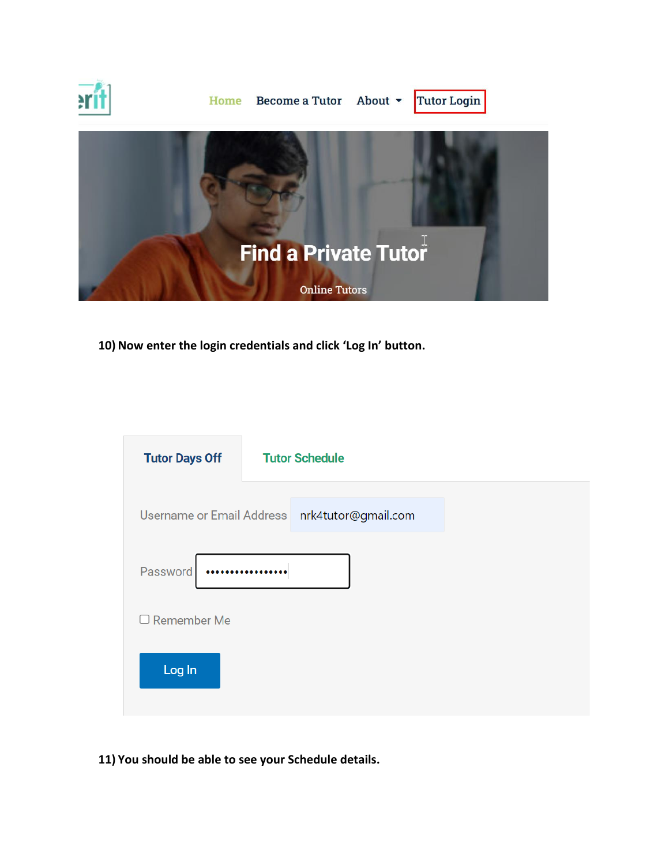

**10) Now enter the login credentials and click 'Log In' button.**

| <b>Tutor Days Off</b> | <b>Tutor Schedule</b>                         |  |
|-----------------------|-----------------------------------------------|--|
|                       | Username or Email Address nrk4tutor@gmail.com |  |
| Password              |                                               |  |
| $\Box$ Remember Me    |                                               |  |
| Log In                |                                               |  |
|                       |                                               |  |

**11) You should be able to see your Schedule details.**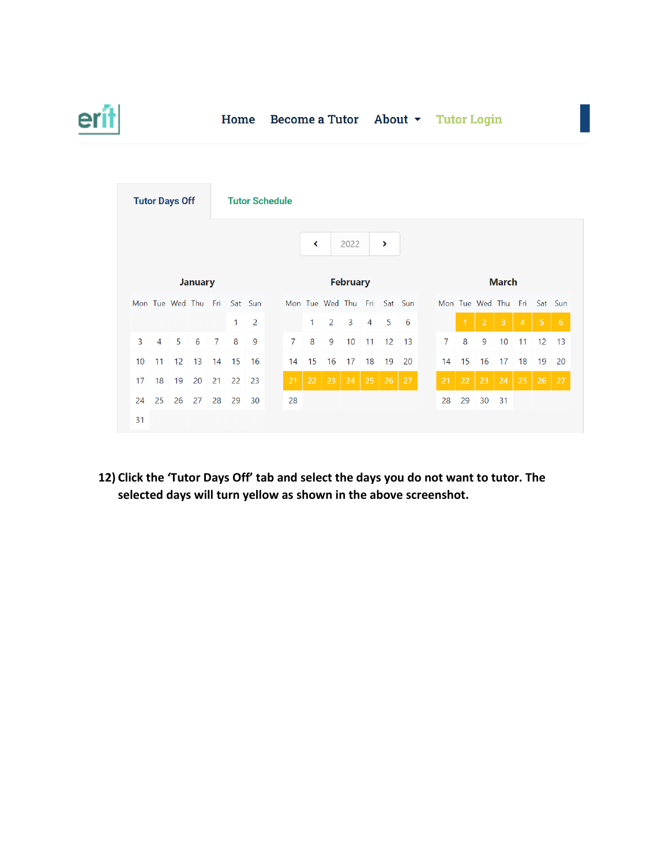

### Home Become a Tutor About v Tutor Login

| <b>Tutor Days Off</b><br><b>Tutor Schedule</b> |                |                             |                 |                |              |      |  |                |              |                             |                 |                |                   |             |  |              |              |                              |                         |                |                             |    |  |
|------------------------------------------------|----------------|-----------------------------|-----------------|----------------|--------------|------|--|----------------|--------------|-----------------------------|-----------------|----------------|-------------------|-------------|--|--------------|--------------|------------------------------|-------------------------|----------------|-----------------------------|----|--|
|                                                |                |                             |                 |                |              |      |  |                | ≺            |                             | 2022            |                | $\rightarrow$     |             |  |              |              |                              |                         |                |                             |    |  |
|                                                | <b>January</b> |                             |                 |                |              |      |  |                |              |                             | <b>February</b> |                |                   |             |  | <b>March</b> |              |                              |                         |                |                             |    |  |
|                                                |                | Mon Tue Wed Thu Fri Sat Sun |                 |                |              |      |  |                |              | Mon Tue Wed Thu Fri Sat Sun |                 |                |                   |             |  |              |              |                              |                         |                | Mon Tue Wed Thu Fri Sat Sun |    |  |
|                                                |                |                             |                 |                | $\mathbf{1}$ | 2    |  |                | $\mathbf{1}$ | $\overline{2}$              | $\overline{3}$  | $\overline{4}$ | 5                 | $6^{\circ}$ |  |              | $\mathbf{1}$ | 2                            | $\overline{\mathbf{3}}$ | $\overline{4}$ | $\overline{5}$              | 6  |  |
| 3                                              | $\overline{4}$ | 5                           | 6               | $\overline{7}$ | 8            | 9    |  | $\overline{7}$ | 8            | 9                           | 10              | 11             |                   | 12 13       |  | 7            | 8            | 9                            | 10                      | 11             | 12                          | 13 |  |
| 10                                             | 11             | 12 <sup>2</sup>             | 13              | 14             | 15 16        |      |  | 14             | 15           | 16                          | 17              | 18             | 19                | 20          |  | 14           | 15           | 16                           | 17                      | 18             | 19                          | 20 |  |
| 17                                             | 18             | 19                          | 20              | 21             | 22           | - 23 |  | 21             | $22 \mid 23$ |                             | 24              |                | $25 \mid 26 \mid$ | 27          |  | 21           |              | $22 \mid 23 \mid 24 \mid 25$ |                         |                | 26                          | 27 |  |
| 24                                             | 25             | 26                          | $\overline{27}$ | 28             | 29           | 30   |  | 28             |              |                             |                 |                |                   |             |  | 28           | 29           | 30                           | 31                      |                |                             |    |  |
| 31                                             |                |                             |                 |                |              |      |  |                |              |                             |                 |                |                   |             |  |              |              |                              |                         |                |                             |    |  |

**12) Click the 'Tutor Days Off' tab and select the days you do not want to tutor. The selected days will turn yellow as shown in the above screenshot.**